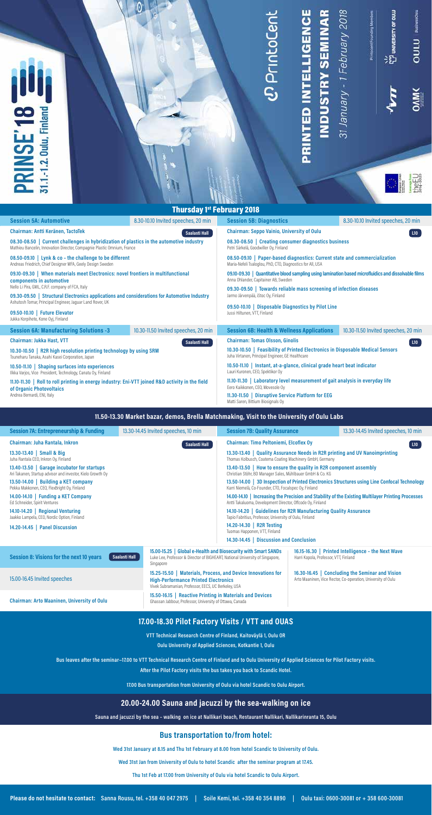# *<i>D* PrintoCent

PRINTED INTELLIGENCE

**INDUSTRY SEMINAR** 

31 January - 1 February 2018

 $\mathbb{C}$ 

만<br>면 university or ou.u

Printpoont Founding Members

OULU | Businessoulu

 $\sum_{i=1}^{n}$ 

the EU

# **Thursday 1st February 2018**

| <b>Session 5A: Automotive</b>                                                                                                                                                                                                                                                                                                                                                                       | 8.30-10.10 Invited speeches, 20 min  | <b>Session 5B: Diagnostics</b>                                                                                                               | 8.30-10.10 Invited speeches, 20 min  |  |
|-----------------------------------------------------------------------------------------------------------------------------------------------------------------------------------------------------------------------------------------------------------------------------------------------------------------------------------------------------------------------------------------------------|--------------------------------------|----------------------------------------------------------------------------------------------------------------------------------------------|--------------------------------------|--|
| Chairman: Antti Keränen, TactoTek                                                                                                                                                                                                                                                                                                                                                                   | Saalasti Hall                        | <b>Chairman: Seppo Vainio, University of Oulu</b><br>L10                                                                                     |                                      |  |
| 08.30-08.50   Current challenges in hybridization of plastics in the automotive industry<br>Mathieu Bancelin, Innovation Director, Compagnie Plastic Omnium, France                                                                                                                                                                                                                                 |                                      | 08.30-08.50   Creating consumer diagnostics business<br>Petri Särkelä, Goodwiller Oy, Finland                                                |                                      |  |
| 08.50-09.10   Lynk & co - the challenge to be different<br>Andreas Friedrich, Chief Designer MFA, Geely Design Sweden                                                                                                                                                                                                                                                                               |                                      | 08.50-09.10   Paper-based diagnostics: Current state and commercialization<br>Maria-Nefeli Tsaloglou, PhD, CTO, Diagnostics for All, USA     |                                      |  |
| 09.10-09.30   When materials meet Electronics: novel frontiers in multifunctional<br>components in automotive<br>Nello Li Pira, GML, C.R.F. company of FCA, Italy<br>09.30-09.50 Structural Electronics applications and considerations for Automotive Industry<br>Ashutosh Tomar, Principal Engineer, Jaguar Land Rover, UK<br>09.50-10.10   Future Elevator<br>Jukka Korpihete, Kone Oyj, Finland |                                      | 09.10-09.30   Quantitative blood sampling using lamination based microfluidics and dissolvable films<br>Anna Ohlander, Capitainer AB, Sweden |                                      |  |
|                                                                                                                                                                                                                                                                                                                                                                                                     |                                      | 09.30-09.50 Towards reliable mass screening of infection diseases<br>Jarmo Järvenpää, iStoc Oy, Finland                                      |                                      |  |
|                                                                                                                                                                                                                                                                                                                                                                                                     |                                      | 09.50-10.10   Disposable Diagnostics by Pilot Line                                                                                           |                                      |  |
|                                                                                                                                                                                                                                                                                                                                                                                                     |                                      | Jussi Hiltunen, VTT, Finland                                                                                                                 |                                      |  |
| <b>Session 6A: Manufacturing Solutions -3</b>                                                                                                                                                                                                                                                                                                                                                       | 10.30-11.50 Invited speeches, 20 min | <b>Session 6B: Health &amp; Wellness Applications</b>                                                                                        | 10.30-11.50 Invited speeches, 20 min |  |
| <b>Chairman: Jukka Hast, VTT</b>                                                                                                                                                                                                                                                                                                                                                                    | Saalasti Hall                        | <b>Chairman: Tomas Olsson, Ginolis</b>                                                                                                       | L10                                  |  |
| 10.30-10.50   R2R high resolution printing technology by using SRM<br>Tsuneharu Tanaka, Asahi Kasei Corporation, Japan                                                                                                                                                                                                                                                                              |                                      | 10.30-10.50   Feasibility of Printed Electronics in Disposable Medical Sensors<br>Juha Virtanen, Principal Engineer, GE Healthcare           |                                      |  |
| 10.50-11.10   Shaping surfaces into experiences<br>Ilkka Varjos, Vice President, Technology, Canatu Oy, Finland                                                                                                                                                                                                                                                                                     |                                      | 10.50-11.10   Instant, at-a-glance, clinical grade heart beat indicator<br>Lauri Kuronen, CEO, Spektikor Oy                                  |                                      |  |
| 11.10-11.30   Roll to roll printing in energy industry: Eni-VTT joined R&D activity in the field<br>of Organic Photovoltaics                                                                                                                                                                                                                                                                        |                                      | 11.10-11.30   Laboratory level measurement of gait analysis in everyday life<br>Eero Kaikkonen, CEO, Movesole Oy                             |                                      |  |
| Andrea Bernardi, ENI, Italy                                                                                                                                                                                                                                                                                                                                                                         |                                      | 11.30-11.50   Disruptive Service Platform for EEG<br>Matti Saren, Bittium Biosignals Oy                                                      |                                      |  |

### **11.50-13.30 Market bazar, demos, Brella Matchmaking, Visit to the University of Oulu Labs**

| <b>Session 7A: Entrepreneurship &amp; Funding</b>          | 13.30-14.45 Invited speeches, 10 min                                                               | <b>Session 7B: Quality Assurance</b>                                                                        |  | 13.30-14.45 Invited speeches, 10 min                                                                            |
|------------------------------------------------------------|----------------------------------------------------------------------------------------------------|-------------------------------------------------------------------------------------------------------------|--|-----------------------------------------------------------------------------------------------------------------|
| Chairman: Juha Rantala, Inkron                             |                                                                                                    | Chairman: Timo Peltoniemi, Elcoflex Oy                                                                      |  |                                                                                                                 |
| Saalasti Hall                                              |                                                                                                    | L10                                                                                                         |  |                                                                                                                 |
| 13.30-13.40   Small & Big                                  |                                                                                                    | 13.30-13.40   Quality Assurance Needs in R2R printing and UV Nanoimprinting                                 |  |                                                                                                                 |
| Juha Rantala CEO, Inkron Oy, Finland                       |                                                                                                    | Thomas Kolbusch, Coatema Coating Machinery GmbH, Germany                                                    |  |                                                                                                                 |
| 13.40-13.50   Garage incubator for startups                |                                                                                                    | 13.40-13.50   How to ensure the quality in R2R component assembly                                           |  |                                                                                                                 |
| Ari Takanen, Startup advisor and investor, Kielo Growth Oy |                                                                                                    | Christian Stöhr, BD Manager Sales, Mühlbauer GmbH & Co. KG                                                  |  |                                                                                                                 |
| 13.50-14.00   Building a KET company                       | 13.50-14.00   3D Inspection of Printed Electronics Structures using Line Confocal Technology       |                                                                                                             |  |                                                                                                                 |
| Pekka Makkonen, CEO, FlexBright Oy, Finland                | Karri Niemelä, Co-Founder, CTO, Focalspec Oy, Finland                                              |                                                                                                             |  |                                                                                                                 |
| 14.00-14.10   Funding a KET Company                        | 14.00-14.10   Increasing the Precision and Stability of the Existing Multilayer Printing Processes |                                                                                                             |  |                                                                                                                 |
| Ed Schneider, Spirit Ventures                              | Antti Takaluoma, Development Director, Offcode Oy, Finland                                         |                                                                                                             |  |                                                                                                                 |
| 14.10-14.20   Regional Venturing                           | 14.10-14.20   Guidelines for R2R Manufacturing Quality Assurance                                   |                                                                                                             |  |                                                                                                                 |
| Jaakko Lampela, CEO, Nordic Option, Finland                | Tapio Fabritius, Professor, University of Oulu, Finland                                            |                                                                                                             |  |                                                                                                                 |
| <b>Panel Discussion</b>                                    |                                                                                                    | 14.20-14.30   R2R Testing                                                                                   |  |                                                                                                                 |
| $14.20 - 14.45$                                            |                                                                                                    | Tuomas Happonen, VTT, Finland                                                                               |  |                                                                                                                 |
|                                                            |                                                                                                    | 14.30-14.45   Discussion and Conclusion                                                                     |  |                                                                                                                 |
| Session 8: Visions for the next 10 years                   | Saalasti Hall                                                                                      | 15.00-15.25   Global e-Health and Biosecurity with Smart SANDs                                              |  | 16.15-16.30   Printed Intelligence - the Next Wave                                                              |
|                                                            | Singapore                                                                                          | Luke Lee, Professor & Director of BIGHEART, National University of Singapore,                               |  | Harri Kopola, Professor, VTT, Finland                                                                           |
| 15.00-16.45 Invited speeches                               |                                                                                                    | 15.25-15.50   Materials, Process, and Device Innovations for<br><b>High-Performance Printed Electronics</b> |  | 16.30-16.45   Concluding the Seminar and Vision<br>Arto Maaninen, Vice Rector, Co-operation, University of Oulu |

**Chairman: Arto Maaninen, University of Oulu 15.50-16.15 | Reactive Printing in Materials and Devices** 

## **17.00-18.30 Pilot Factory Visits / VTT and OUAS**

Vivek Subramanian, Professor, EECS, UC Berkeley, USA

Ghassan Jabbour, Professor, University of Ottawa, Canada

**VTT Technical Research Centre of Finland, Kaitoväylä 1, Oulu OR**

**Oulu University of Applied Sciences, Kotkantie 1, Oulu**

### **Bus leaves after the seminar~17.00 to VTT Technical Research Centre of Finland and to Oulu University of Applied Sciences for Pilot Factory visits.**

**After the Pilot Factory visits the bus takes you back to Scandic Hotel.** 

**17.00 Bus transportation from University of Oulu via hotel Scandic to Oulu Airport.**

### **20.00-24.00 Sauna and jacuzzi by the sea-walking on ice**

**Sauna and jacuzzi by the sea – walking on ice at Nallikari beach, Restaurant Nallikari, Nallikarinranta 15, Oulu**

### **Bus transportation to/from hotel:**

**Wed 31st January at 8.15 and Thu 1st February at 8.00 from hotel Scandic to University of Oulu.** 

**Wed 31st Jan from University of Oulu to hotel Scandic after the seminar program at 17.45.** 

**Thu 1st Feb at 17.00 from University of Oulu via hotel Scandic to Oulu Airport.**